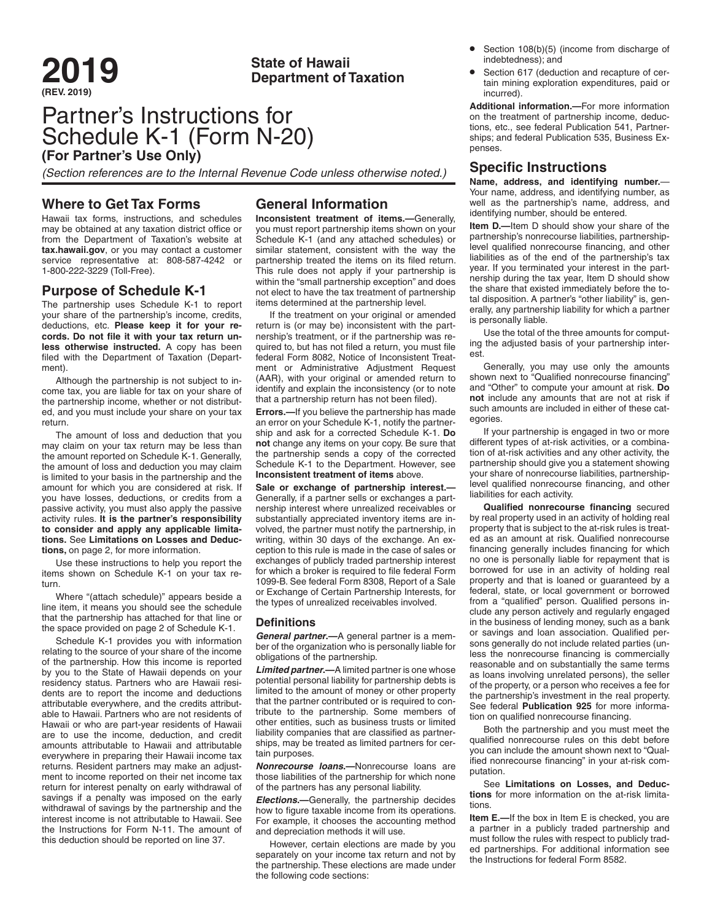# **(REV. 2019)**

# **2019 State of Hawaii Department of Taxation**

# Partner's Instructions for Schedule K-1 (Form N-20) **(For Partner's Use Only)**

*(Section references are to the Internal Revenue Code unless otherwise noted.)*

## **Where to Get Tax Forms**

Hawaii tax forms, instructions, and schedules may be obtained at any taxation district office or from the Department of Taxation's website at **tax.hawaii.gov**, or you may contact a customer service representative at: 808-587-4242 or 1-800-222-3229 (Toll-Free).

# **Purpose of Schedule K-1**

The partnership uses Schedule K-1 to report your share of the partnership's income, credits, deductions, etc. **Please keep it for your records. Do not file it with your tax return unless otherwise instructed.** A copy has been filed with the Department of Taxation (Department).

Although the partnership is not subject to income tax, you are liable for tax on your share of the partnership income, whether or not distributed, and you must include your share on your tax return.

The amount of loss and deduction that you may claim on your tax return may be less than the amount reported on Schedule K-1. Generally, the amount of loss and deduction you may claim is limited to your basis in the partnership and the amount for which you are considered at risk. If you have losses, deductions, or credits from a passive activity, you must also apply the passive activity rules. **It is the partner's responsibility to consider and apply any applicable limitations.** See **Limitations on Losses and Deductions,** on page 2, for more information.

Use these instructions to help you report the items shown on Schedule K-1 on your tax return.

Where "(attach schedule)" appears beside a line item, it means you should see the schedule that the partnership has attached for that line or the space provided on page 2 of Schedule K-1.

Schedule K-1 provides you with information relating to the source of your share of the income of the partnership. How this income is reported by you to the State of Hawaii depends on your residency status. Partners who are Hawaii residents are to report the income and deductions attributable everywhere, and the credits attributable to Hawaii. Partners who are not residents of Hawaii or who are part-year residents of Hawaii are to use the income, deduction, and credit amounts attributable to Hawaii and attributable everywhere in preparing their Hawaii income tax returns. Resident partners may make an adjustment to income reported on their net income tax return for interest penalty on early withdrawal of savings if a penalty was imposed on the early withdrawal of savings by the partnership and the interest income is not attributable to Hawaii. See the Instructions for Form N-11. The amount of this deduction should be reported on line 37.

# **General Information**

**Inconsistent treatment of items.—**Generally, you must report partnership items shown on your Schedule K-1 (and any attached schedules) or similar statement, consistent with the way the partnership treated the items on its filed return. This rule does not apply if your partnership is within the "small partnership exception" and does not elect to have the tax treatment of partnership items determined at the partnership level.

If the treatment on your original or amended return is (or may be) inconsistent with the partnership's treatment, or if the partnership was required to, but has not filed a return, you must file federal Form 8082, Notice of Inconsistent Treatment or Administrative Adjustment Request (AAR), with your original or amended return to identify and explain the inconsistency (or to note that a partnership return has not been filed).

**Errors.—**If you believe the partnership has made an error on your Schedule K-1, notify the partnership and ask for a corrected Schedule K-1. **Do not** change any items on your copy. Be sure that the partnership sends a copy of the corrected Schedule K-1 to the Department. However, see **Inconsistent treatment of items** above.

**Sale or exchange of partnership interest.—** Generally, if a partner sells or exchanges a partnership interest where unrealized receivables or substantially appreciated inventory items are involved, the partner must notify the partnership, in writing, within 30 days of the exchange. An exception to this rule is made in the case of sales or exchanges of publicly traded partnership interest for which a broker is required to file federal Form 1099-B. See federal Form 8308, Report of a Sale or Exchange of Certain Partnership Interests, for the types of unrealized receivables involved.

#### **Definitions**

*General partner***.—**A general partner is a member of the organization who is personally liable for obligations of the partnership.

*Limited partner***.—**A limited partner is one whose potential personal liability for partnership debts is limited to the amount of money or other property that the partner contributed or is required to contribute to the partnership. Some members of other entities, such as business trusts or limited liability companies that are classified as partnerships, may be treated as limited partners for certain purposes.

*Nonrecourse loans***.—**Nonrecourse loans are those liabilities of the partnership for which none of the partners has any personal liability.

*Elections***.—**Generally, the partnership decides how to figure taxable income from its operations. For example, it chooses the accounting method and depreciation methods it will use.

However, certain elections are made by you separately on your income tax return and not by the partnership. These elections are made under the following code sections:

- Section 108(b)(5) (income from discharge of indebtedness); and
- Section 617 (deduction and recapture of certain mining exploration expenditures, paid or incurred).

**Additional information.—**For more information on the treatment of partnership income, deductions, etc., see federal Publication 541, Partnerships; and federal Publication 535, Business Expenses.

### **Specific Instructions**

**Name, address, and identifying number.**— Your name, address, and identifying number, as well as the partnership's name, address, and identifying number, should be entered.

**Item D.—**Item D should show your share of the partnership's nonrecourse liabilities, partnershiplevel qualified nonrecourse financing, and other liabilities as of the end of the partnership's tax year. If you terminated your interest in the partnership during the tax year, Item D should show the share that existed immediately before the total disposition. A partner's "other liability" is, generally, any partnership liability for which a partner is personally liable.

Use the total of the three amounts for computing the adjusted basis of your partnership interest.

Generally, you may use only the amounts shown next to "Qualified nonrecourse financing" and "Other" to compute your amount at risk. **Do not** include any amounts that are not at risk if such amounts are included in either of these categories.

If your partnership is engaged in two or more different types of at-risk activities, or a combination of at-risk activities and any other activity, the partnership should give you a statement showing your share of nonrecourse liabilities, partnershiplevel qualified nonrecourse financing, and other liabilities for each activity.

**Qualified nonrecourse financing** secured by real property used in an activity of holding real property that is subject to the at-risk rules is treated as an amount at risk. Qualified nonrecourse financing generally includes financing for which no one is personally liable for repayment that is borrowed for use in an activity of holding real property and that is loaned or guaranteed by a federal, state, or local government or borrowed from a "qualified" person. Qualified persons include any person actively and regularly engaged in the business of lending money, such as a bank or savings and loan association. Qualified persons generally do not include related parties (unless the nonrecourse financing is commercially reasonable and on substantially the same terms as loans involving unrelated persons), the seller of the property, or a person who receives a fee for the partnership's investment in the real property. See federal **Publication 925** for more information on qualified nonrecourse financing.

Both the partnership and you must meet the qualified nonrecourse rules on this debt before you can include the amount shown next to "Qualified nonrecourse financing" in your at-risk computation.

See **Limitations on Losses, and Deductions** for more information on the at-risk limitations.

**Item E.**—If the box in Item E is checked, you are a partner in a publicly traded partnership and must follow the rules with respect to publicly traded partnerships. For additional information see the Instructions for federal Form 8582.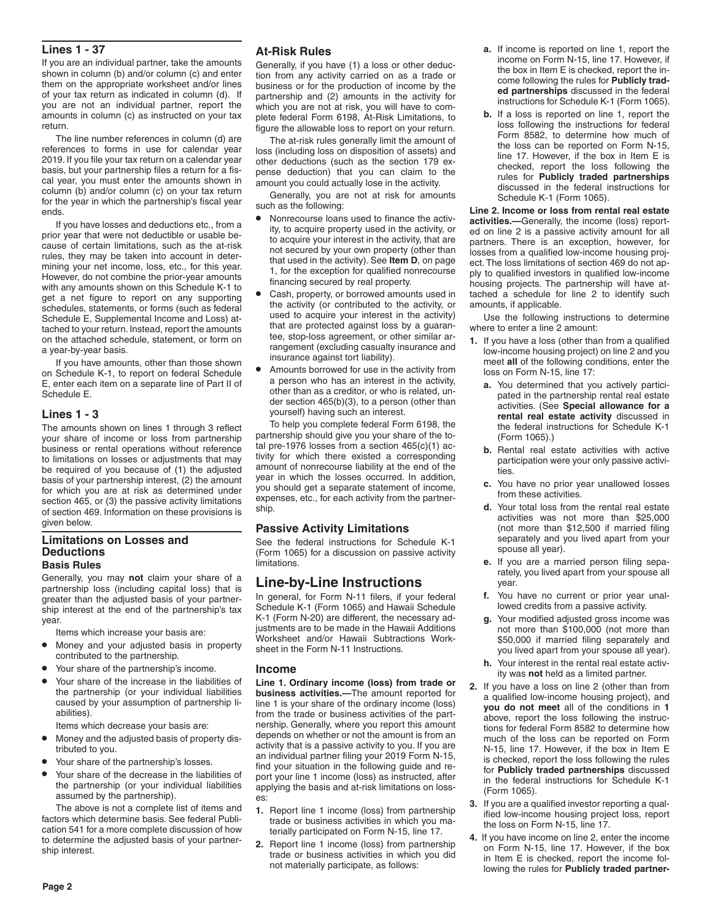#### **Lines 1 - 37**

If you are an individual partner, take the amounts shown in column (b) and/or column (c) and enter them on the appropriate worksheet and/or lines of your tax return as indicated in column (d). If you are not an individual partner, report the amounts in column (c) as instructed on your tax return.

The line number references in column (d) are references to forms in use for calendar year 2019. If you file your tax return on a calendar year basis, but your partnership files a return for a fiscal year, you must enter the amounts shown in column (b) and/or column (c) on your tax return for the year in which the partnership's fiscal year ends.

If you have losses and deductions etc., from a prior year that were not deductible or usable because of certain limitations, such as the at-risk rules, they may be taken into account in determining your net income, loss, etc., for this year. However, do not combine the prior-year amounts with any amounts shown on this Schedule K-1 to get a net figure to report on any supporting schedules, statements, or forms (such as federal Schedule E, Supplemental Income and Loss) attached to your return. Instead, report the amounts on the attached schedule, statement, or form on a year-by-year basis.

If you have amounts, other than those shown on Schedule K-1, to report on federal Schedule E, enter each item on a separate line of Part II of Schedule E.

#### **Lines 1 - 3**

The amounts shown on lines 1 through 3 reflect your share of income or loss from partnership business or rental operations without reference to limitations on losses or adjustments that may be required of you because of (1) the adjusted basis of your partnership interest, (2) the amount for which you are at risk as determined under section 465, or (3) the passive activity limitations of section 469. Information on these provisions is given below.

#### **Limitations on Losses and Deductions Basis Rules**

Generally, you may **not** claim your share of a partnership loss (including capital loss) that is greater than the adjusted basis of your partnership interest at the end of the partnership's tax year.

Items which increase your basis are:

- Money and your adjusted basis in property contributed to the partnership.
- Your share of the partnership's income.
- Your share of the increase in the liabilities of the partnership (or your individual liabilities caused by your assumption of partnership liabilities).

Items which decrease your basis are:

- Money and the adjusted basis of property distributed to you.
- Your share of the partnership's losses.
- Your share of the decrease in the liabilities of the partnership (or your individual liabilities assumed by the partnership).

The above is not a complete list of items and factors which determine basis. See federal Publication 541 for a more complete discussion of how to determine the adjusted basis of your partnership interest.

#### **At-Risk Rules**

Generally, if you have (1) a loss or other deduction from any activity carried on as a trade or business or for the production of income by the partnership and (2) amounts in the activity for which you are not at risk, you will have to complete federal Form 6198, At-Risk Limitations, to figure the allowable loss to report on your return.

The at-risk rules generally limit the amount of loss (including loss on disposition of assets) and other deductions (such as the section 179 expense deduction) that you can claim to the amount you could actually lose in the activity.

Generally, you are not at risk for amounts such as the following:

- Nonrecourse loans used to finance the activity, to acquire property used in the activity, or to acquire your interest in the activity, that are not secured by your own property (other than that used in the activity). See **Item D**, on page 1, for the exception for qualified nonrecourse financing secured by real property.
- Cash, property, or borrowed amounts used in the activity (or contributed to the activity, or used to acquire your interest in the activity) that are protected against loss by a guarantee, stop-loss agreement, or other similar arrangement (excluding casualty insurance and insurance against tort liability).
- Amounts borrowed for use in the activity from a person who has an interest in the activity, other than as a creditor, or who is related, under section 465(b)(3), to a person (other than yourself) having such an interest.

To help you complete federal Form 6198, the partnership should give you your share of the total pre-1976 losses from a section 465(c)(1) activity for which there existed a corresponding amount of nonrecourse liability at the end of the year in which the losses occurred. In addition, you should get a separate statement of income, expenses, etc., for each activity from the partnership.

#### **Passive Activity Limitations**

See the federal instructions for Schedule K-1 (Form 1065) for a discussion on passive activity limitations.

# **Line-by-Line Instructions**

In general, for Form N-11 filers, if your federal Schedule K-1 (Form 1065) and Hawaii Schedule K-1 (Form N-20) are different, the necessary adjustments are to be made in the Hawaii Additions Worksheet and/or Hawaii Subtractions Worksheet in the Form N-11 Instructions.

#### **Income**

**Line 1. Ordinary income (loss) from trade or business activities.—**The amount reported for line 1 is your share of the ordinary income (loss) from the trade or business activities of the partnership. Generally, where you report this amount depends on whether or not the amount is from an activity that is a passive activity to you. If you are an individual partner filing your 2019 Form N-15, find your situation in the following guide and report your line 1 income (loss) as instructed, after applying the basis and at-risk limitations on losses:

- **1.** Report line 1 income (loss) from partnership trade or business activities in which you materially participated on Form N-15, line 17.
- **2.** Report line 1 income (loss) from partnership trade or business activities in which you did not materially participate, as follows:
- **a.** If income is reported on line 1, report the income on Form N-15, line 17. However, if the box in Item E is checked, report the income following the rules for **Publicly traded partnerships** discussed in the federal instructions for Schedule K-1 (Form 1065).
- **b.** If a loss is reported on line 1, report the loss following the instructions for federal Form 8582, to determine how much of the loss can be reported on Form N-15, line 17. However, if the box in Item E is checked, report the loss following the rules for **Publicly traded partnerships**  discussed in the federal instructions for Schedule K-1 (Form 1065).

**Line 2. Income or loss from rental real estate activities.—**Generally, the income (loss) reported on line 2 is a passive activity amount for all partners. There is an exception, however, for losses from a qualified low-income housing project. The loss limitations of section 469 do not apply to qualified investors in qualified low-income housing projects. The partnership will have attached a schedule for line 2 to identify such amounts, if applicable.

Use the following instructions to determine where to enter a line 2 amount:

- **1.** If you have a loss (other than from a qualified low-income housing project) on line 2 and you meet **all** of the following conditions, enter the loss on Form N-15, line 17:
	- **a.** You determined that you actively participated in the partnership rental real estate activities. (See **Special allowance for a rental real estate activity** discussed in the federal instructions for Schedule K-1 (Form 1065).)
	- **b.** Rental real estate activities with active participation were your only passive activities.
	- **c.** You have no prior year unallowed losses from these activities.
	- **d.** Your total loss from the rental real estate activities was not more than \$25,000 (not more than \$12,500 if married filing separately and you lived apart from your spouse all year).
	- **e.** If you are a married person filing separately, you lived apart from your spouse all year.
	- **f.** You have no current or prior year unallowed credits from a passive activity.
	- **g.** Your modified adjusted gross income was not more than \$100,000 (not more than \$50,000 if married filing separately and you lived apart from your spouse all year).
	- **h.** Your interest in the rental real estate activity was **not** held as a limited partner.
- **2.** If you have a loss on line 2 (other than from a qualified low-income housing project), and **you do not meet** all of the conditions in **1** above, report the loss following the instructions for federal Form 8582 to determine how much of the loss can be reported on Form N-15, line 17. However, if the box in Item E is checked, report the loss following the rules for **Publicly traded partnerships** discussed in the federal instructions for Schedule K-1 (Form 1065).
- **3.** If you are a qualified investor reporting a qualified low-income housing project loss, report the loss on Form N-15, line 17.
- **4.** If you have income on line 2, enter the income on Form N-15, line 17. However, if the box in Item E is checked, report the income following the rules for **Publicly traded partner-**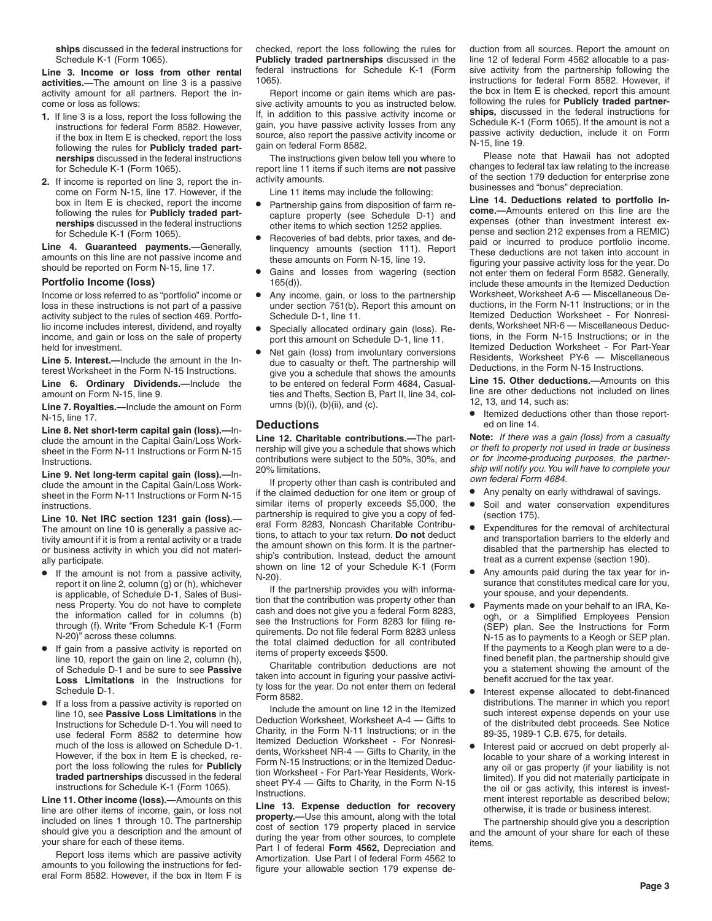**ships** discussed in the federal instructions for Schedule K-1 (Form 1065).

**Line 3. Income or loss from other rental activities.—**The amount on line 3 is a passive activity amount for all partners. Report the income or loss as follows:

- **1.** If line 3 is a loss, report the loss following the instructions for federal Form 8582. However, if the box in Item E is checked, report the loss following the rules for **Publicly traded partnerships** discussed in the federal instructions for Schedule K-1 (Form 1065).
- **2.** If income is reported on line 3, report the income on Form N-15, line 17. However, if the box in Item E is checked, report the income following the rules for **Publicly traded partnerships** discussed in the federal instructions for Schedule K-1 (Form 1065).

**Line 4. Guaranteed payments.—**Generally, amounts on this line are not passive income and should be reported on Form N-15, line 17.

#### **Portfolio Income (loss)**

Income or loss referred to as "portfolio" income or loss in these instructions is not part of a passive activity subject to the rules of section 469. Portfolio income includes interest, dividend, and royalty income, and gain or loss on the sale of property held for investment.

**Line 5. Interest.—**Include the amount in the Interest Worksheet in the Form N-15 Instructions.

**Line 6. Ordinary Dividends.—**Include the amount on Form N-15, line 9.

**Line 7. Royalties.—**Include the amount on Form N-15, line 17.

**Line 8. Net short-term capital gain (loss).—**Include the amount in the Capital Gain/Loss Worksheet in the Form N-11 Instructions or Form N-15 **Instructions** 

**Line 9. Net long-term capital gain (loss).—**Include the amount in the Capital Gain/Loss Worksheet in the Form N-11 Instructions or Form N-15 instructions.

**Line 10. Net IRC section 1231 gain (loss).—** The amount on line 10 is generally a passive activity amount if it is from a rental activity or a trade or business activity in which you did not materially participate.

- If the amount is not from a passive activity, report it on line 2, column (g) or (h), whichever is applicable, of Schedule D-1, Sales of Business Property. You do not have to complete the information called for in columns (b) through (f). Write "From Schedule K-1 (Form N-20)" across these columns.
- If gain from a passive activity is reported on line 10, report the gain on line 2, column (h), of Schedule D-1 and be sure to see **Passive Loss Limitations** in the Instructions for Schedule D-1.
- If a loss from a passive activity is reported on line 10, see **Passive Loss Limitations** in the Instructions for Schedule D-1. You will need to use federal Form 8582 to determine how much of the loss is allowed on Schedule D-1. However, if the box in Item E is checked, report the loss following the rules for **Publicly traded partnerships** discussed in the federal instructions for Schedule K-1 (Form 1065).

**Line 11. Other income (loss).—**Amounts on this line are other items of income, gain, or loss not included on lines 1 through 10. The partnership should give you a description and the amount of your share for each of these items.

Report loss items which are passive activity amounts to you following the instructions for federal Form 8582. However, if the box in Item F is checked, report the loss following the rules for **Publicly traded partnerships** discussed in the federal instructions for Schedule K-1 (Form 1065).

Report income or gain items which are passive activity amounts to you as instructed below. If, in addition to this passive activity income or gain, you have passive activity losses from any source, also report the passive activity income or gain on federal Form 8582.

The instructions given below tell you where to report line 11 items if such items are **not** passive activity amounts.

Line 11 items may include the following:

- Partnership gains from disposition of farm recapture property (see Schedule D-1) and other items to which section 1252 applies.
- Recoveries of bad debts, prior taxes, and delinquency amounts (section 111). Report these amounts on Form N-15, line 19.
- Gains and losses from wagering (section 165(d)).
- Any income, gain, or loss to the partnership under section 751(b). Report this amount on Schedule D-1, line 11.
- Specially allocated ordinary gain (loss). Report this amount on Schedule D-1, line 11.
- Net gain (loss) from involuntary conversions due to casualty or theft. The partnership will give you a schedule that shows the amounts to be entered on federal Form 4684, Casualties and Thefts, Section B, Part II, line 34, columns  $(b)(i)$ ,  $(b)(ii)$ , and  $(c)$ .

#### **Deductions**

**Line 12. Charitable contributions.—**The partnership will give you a schedule that shows which contributions were subject to the 50%, 30%, and 20% limitations.

If property other than cash is contributed and if the claimed deduction for one item or group of similar items of property exceeds \$5,000, the partnership is required to give you a copy of federal Form 8283, Noncash Charitable Contributions, to attach to your tax return. **Do not** deduct the amount shown on this form. It is the partnership's contribution. Instead, deduct the amount shown on line 12 of your Schedule K-1 (Form N-20).

If the partnership provides you with information that the contribution was property other than cash and does not give you a federal Form 8283, see the Instructions for Form 8283 for filing requirements. Do not file federal Form 8283 unless the total claimed deduction for all contributed items of property exceeds \$500.

Charitable contribution deductions are not taken into account in figuring your passive activity loss for the year. Do not enter them on federal Form 8582.

Include the amount on line 12 in the Itemized Deduction Worksheet, Worksheet A-4 — Gifts to Charity, in the Form N-11 Instructions; or in the Itemized Deduction Worksheet - For Nonresidents, Worksheet NR-4 — Gifts to Charity, in the Form N-15 Instructions; or in the Itemized Deduction Worksheet - For Part-Year Residents, Worksheet PY-4 — Gifts to Charity, in the Form N-15 **Instructions** 

**Line 13. Expense deduction for recovery property.—**Use this amount, along with the total cost of section 179 property placed in service during the year from other sources, to complete Part I of federal **Form 4562,** Depreciation and Amortization. Use Part I of federal Form 4562 to figure your allowable section 179 expense deduction from all sources. Report the amount on line 12 of federal Form 4562 allocable to a passive activity from the partnership following the instructions for federal Form 8582. However, if the box in Item E is checked, report this amount following the rules for **Publicly traded partnerships,** discussed in the federal instructions for Schedule K-1 (Form 1065). If the amount is not a passive activity deduction, include it on Form N-15, line 19.

Please note that Hawaii has not adopted changes to federal tax law relating to the increase of the section 179 deduction for enterprise zone businesses and "bonus" depreciation.

**Line 14. Deductions related to portfolio income.—**Amounts entered on this line are the expenses (other than investment interest expense and section 212 expenses from a REMIC) paid or incurred to produce portfolio income. These deductions are not taken into account in figuring your passive activity loss for the year. Do not enter them on federal Form 8582. Generally, include these amounts in the Itemized Deduction Worksheet, Worksheet A-6 — Miscellaneous Deductions, in the Form N-11 Instructions; or in the Itemized Deduction Worksheet - For Nonresidents, Worksheet NR-6 — Miscellaneous Deductions, in the Form N-15 Instructions; or in the Itemized Deduction Worksheet - For Part-Year Residents, Worksheet PY-6 — Miscellaneous Deductions, in the Form N-15 Instructions.

**Line 15. Other deductions.—**Amounts on this line are other deductions not included on lines 12, 13, and 14, such as:

• Itemized deductions other than those reported on line 14.

**Note:** *If there was a gain (loss) from a casualty or theft to property not used in trade or business or for income-producing purposes, the partnership will notify you. You will have to complete your own federal Form 4684.*

- Any penalty on early withdrawal of savings.
- Soil and water conservation expenditures (section 175).
- Expenditures for the removal of architectural and transportation barriers to the elderly and disabled that the partnership has elected to treat as a current expense (section 190).
- Any amounts paid during the tax year for insurance that constitutes medical care for you, your spouse, and your dependents.
- Payments made on your behalf to an IRA, Keogh, or a Simplified Employees Pension (SEP) plan. See the Instructions for Form N-15 as to payments to a Keogh or SEP plan. If the payments to a Keogh plan were to a defined benefit plan, the partnership should give you a statement showing the amount of the benefit accrued for the tax year.
- Interest expense allocated to debt-financed distributions. The manner in which you report such interest expense depends on your use of the distributed debt proceeds. See Notice 89-35, 1989-1 C.B. 675, for details.
- Interest paid or accrued on debt properly allocable to your share of a working interest in any oil or gas property (if your liability is not limited). If you did not materially participate in the oil or gas activity, this interest is investment interest reportable as described below; otherwise, it is trade or business interest.

The partnership should give you a description and the amount of your share for each of these items.